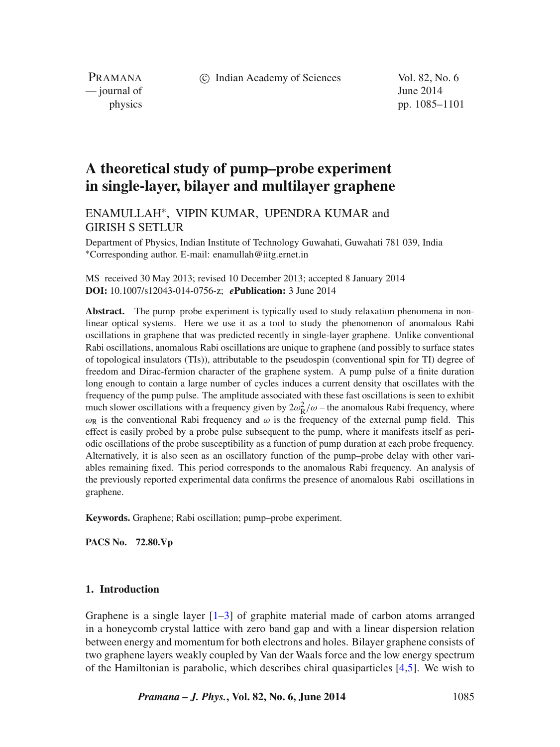c Indian Academy of Sciences Vol. 82, No. 6

PRAMANA  $\frac{1}{2014}$   $\frac{1}{2014}$ 

physics pp. 1085–1101

# **A theoretical study of pump–probe experiment in single-layer, bilayer and multilayer graphene**

## ENAMULLAH∗, VIPIN KUMAR, UPENDRA KUMAR and GIRISH S SETLUR

Department of Physics, Indian Institute of Technology Guwahati, Guwahati 781 039, India ∗Corresponding author. E-mail: enamullah@iitg.ernet.in

MS received 30 May 2013; revised 10 December 2013; accepted 8 January 2014 **DOI:** 10.1007/s12043-014-0756-z; *e***Publication:** 3 June 2014

**Abstract.** The pump–probe experiment is typically used to study relaxation phenomena in nonlinear optical systems. Here we use it as a tool to study the phenomenon of anomalous Rabi oscillations in graphene that was predicted recently in single-layer graphene. Unlike conventional Rabi oscillations, anomalous Rabi oscillations are unique to graphene (and possibly to surface states of topological insulators (TIs)), attributable to the pseudospin (conventional spin for TI) degree of freedom and Dirac-fermion character of the graphene system. A pump pulse of a finite duration long enough to contain a large number of cycles induces a current density that oscillates with the frequency of the pump pulse. The amplitude associated with these fast oscillations is seen to exhibit much slower oscillations with a frequency given by  $2\omega_R^2/\omega$  – the anomalous Rabi frequency, where  $\omega_R$  is the conventional Rabi frequency and  $\omega$  is the frequency of the external pump field. This effect is easily probed by a probe pulse subsequent to the pump, where it manifests itself as periodic oscillations of the probe susceptibility as a function of pump duration at each probe frequency. Alternatively, it is also seen as an oscillatory function of the pump–probe delay with other variables remaining fixed. This period corresponds to the anomalous Rabi frequency. An analysis of the previously reported experimental data confirms the presence of anomalous Rabi oscillations in graphene.

**Keywords.** Graphene; Rabi oscillation; pump–probe experiment.

**PACS No. 72.80.Vp**

## **1. Introduction**

Graphene is a single layer [\[1](#page-15-0)[–3\]](#page-15-1) of graphite material made of carbon atoms arranged in a honeycomb crystal lattice with zero band gap and with a linear dispersion relation between energy and momentum for both electrons and holes. Bilayer graphene consists of two graphene layers weakly coupled by Van der Waals force and the low energy spectrum of the Hamiltonian is parabolic, which describes chiral quasiparticles [\[4](#page-15-2)[,5\]](#page-15-3). We wish to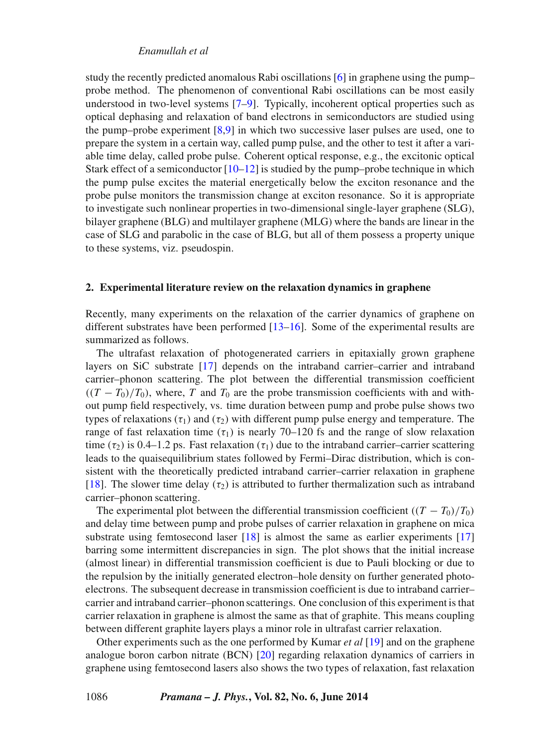study the recently predicted anomalous Rabi oscillations [\[6\]](#page-15-4) in graphene using the pump– probe method. The phenomenon of conventional Rabi oscillations can be most easily understood in two-level systems [\[7](#page-15-5)[–9\]](#page-16-0). Typically, incoherent optical properties such as optical dephasing and relaxation of band electrons in semiconductors are studied using the pump–probe experiment [\[8](#page-16-1)[,9\]](#page-16-0) in which two successive laser pulses are used, one to prepare the system in a certain way, called pump pulse, and the other to test it after a variable time delay, called probe pulse. Coherent optical response, e.g., the excitonic optical Stark effect of a semiconductor  $[10-12]$  $[10-12]$  is studied by the pump–probe technique in which the pump pulse excites the material energetically below the exciton resonance and the probe pulse monitors the transmission change at exciton resonance. So it is appropriate to investigate such nonlinear properties in two-dimensional single-layer graphene (SLG), bilayer graphene (BLG) and multilayer graphene (MLG) where the bands are linear in the case of SLG and parabolic in the case of BLG, but all of them possess a property unique to these systems, viz. pseudospin.

## **2. Experimental literature review on the relaxation dynamics in graphene**

Recently, many experiments on the relaxation of the carrier dynamics of graphene on different substrates have been performed [\[13–](#page-16-4)[16\]](#page-16-5). Some of the experimental results are summarized as follows.

The ultrafast relaxation of photogenerated carriers in epitaxially grown graphene layers on SiC substrate [\[17\]](#page-16-6) depends on the intraband carrier–carrier and intraband carrier–phonon scattering. The plot between the differential transmission coefficient  $((T - T_0)/T_0)$ , where, T and T<sub>0</sub> are the probe transmission coefficients with and without pump field respectively, vs. time duration between pump and probe pulse shows two types of relaxations  $(\tau_1)$  and  $(\tau_2)$  with different pump pulse energy and temperature. The range of fast relaxation time  $(\tau_1)$  is nearly 70–120 fs and the range of slow relaxation time ( $\tau_2$ ) is 0.4–1.2 ps. Fast relaxation ( $\tau_1$ ) due to the intraband carrier–carrier scattering leads to the quaisequilibrium states followed by Fermi–Dirac distribution, which is consistent with the theoretically predicted intraband carrier–carrier relaxation in graphene [\[18\]](#page-16-7). The slower time delay ( $\tau$ ) is attributed to further thermalization such as intraband carrier–phonon scattering.

The experimental plot between the differential transmission coefficient  $((T - T_0)/T_0)$ and delay time between pump and probe pulses of carrier relaxation in graphene on mica substrate using femtosecond laser [\[18\]](#page-16-7) is almost the same as earlier experiments [\[17\]](#page-16-6) barring some intermittent discrepancies in sign. The plot shows that the initial increase (almost linear) in differential transmission coefficient is due to Pauli blocking or due to the repulsion by the initially generated electron–hole density on further generated photoelectrons. The subsequent decrease in transmission coefficient is due to intraband carrier– carrier and intraband carrier–phonon scatterings. One conclusion of this experiment is that carrier relaxation in graphene is almost the same as that of graphite. This means coupling between different graphite layers plays a minor role in ultrafast carrier relaxation.

Other experiments such as the one performed by Kumar *et al* [\[19\]](#page-16-8) and on the graphene analogue boron carbon nitrate (BCN) [\[20\]](#page-16-9) regarding relaxation dynamics of carriers in graphene using femtosecond lasers also shows the two types of relaxation, fast relaxation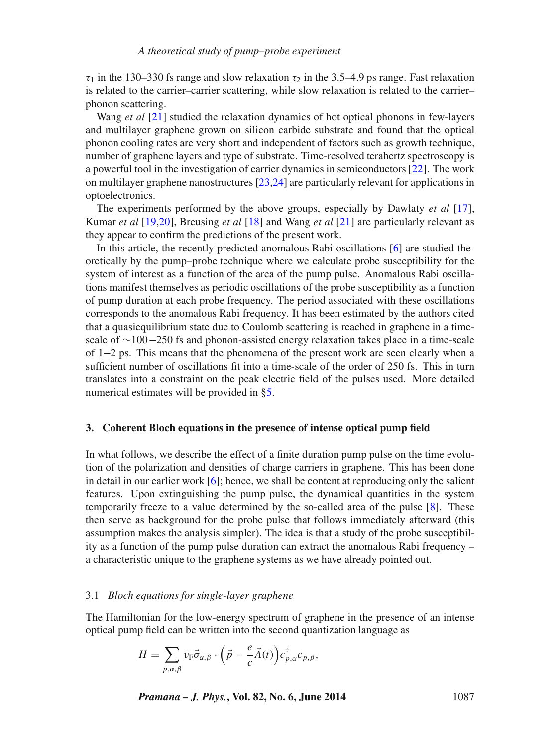$\tau_1$  in the 130–330 fs range and slow relaxation  $\tau_2$  in the 3.5–4.9 ps range. Fast relaxation is related to the carrier–carrier scattering, while slow relaxation is related to the carrier– phonon scattering.

Wang *et al* [\[21\]](#page-16-10) studied the relaxation dynamics of hot optical phonons in few-layers and multilayer graphene grown on silicon carbide substrate and found that the optical phonon cooling rates are very short and independent of factors such as growth technique, number of graphene layers and type of substrate. Time-resolved terahertz spectroscopy is a powerful tool in the investigation of carrier dynamics in semiconductors [\[22\]](#page-16-11). The work on multilayer graphene nanostructures [\[23,](#page-16-12)[24\]](#page-16-13) are particularly relevant for applications in optoelectronics.

The experiments performed by the above groups, especially by Dawlaty *et al* [\[17\]](#page-16-6), Kumar *et al* [\[19](#page-16-8)[,20\]](#page-16-9), Breusing *et al* [\[18\]](#page-16-7) and Wang *et al* [\[21\]](#page-16-10) are particularly relevant as they appear to confirm the predictions of the present work.

In this article, the recently predicted anomalous Rabi oscillations [\[6\]](#page-15-4) are studied theoretically by the pump–probe technique where we calculate probe susceptibility for the system of interest as a function of the area of the pump pulse. Anomalous Rabi oscillations manifest themselves as periodic oscillations of the probe susceptibility as a function of pump duration at each probe frequency. The period associated with these oscillations corresponds to the anomalous Rabi frequency. It has been estimated by the authors cited that a quasiequilibrium state due to Coulomb scattering is reached in graphene in a timescale of ∼100−250 fs and phonon-assisted energy relaxation takes place in a time-scale of 1−2 ps. This means that the phenomena of the present work are seen clearly when a sufficient number of oscillations fit into a time-scale of the order of 250 fs. This in turn translates into a constraint on the peak electric field of the pulses used. More detailed numerical estimates will be provided in [§5.](#page-14-0)

#### **3. Coherent Bloch equations in the presence of intense optical pump field**

In what follows, we describe the effect of a finite duration pump pulse on the time evolution of the polarization and densities of charge carriers in graphene. This has been done in detail in our earlier work [\[6\]](#page-15-4); hence, we shall be content at reproducing only the salient features. Upon extinguishing the pump pulse, the dynamical quantities in the system temporarily freeze to a value determined by the so-called area of the pulse [\[8\]](#page-16-1). These then serve as background for the probe pulse that follows immediately afterward (this assumption makes the analysis simpler). The idea is that a study of the probe susceptibility as a function of the pump pulse duration can extract the anomalous Rabi frequency – a characteristic unique to the graphene systems as we have already pointed out.

## 3.1 *Bloch equations for single-layer graphene*

The Hamiltonian for the low-energy spectrum of graphene in the presence of an intense optical pump field can be written into the second quantization language as

$$
H = \sum_{p,\alpha,\beta} v_{\rm F} \vec{\sigma}_{\alpha,\beta} \cdot (\vec{p} - \frac{e}{c} \vec{A}(t)) c_{p,\alpha}^{\dagger} c_{p,\beta},
$$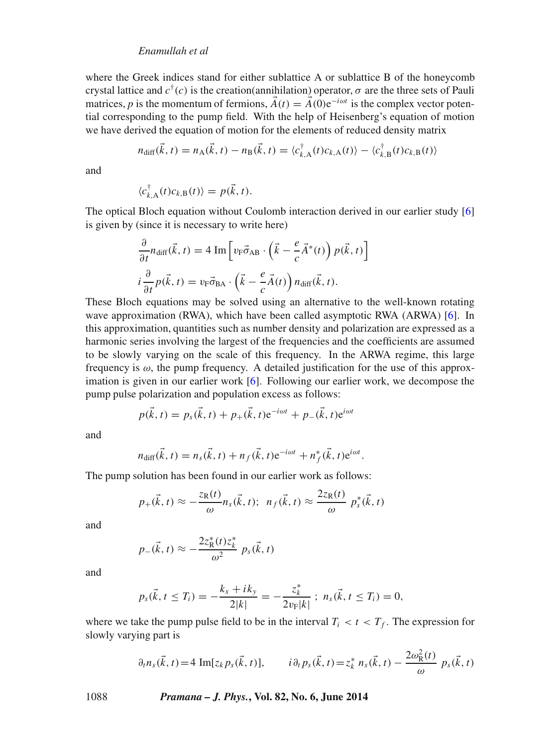where the Greek indices stand for either sublattice A or sublattice B of the honeycomb crystal lattice and  $c^{\dagger}(c)$  is the creation(annihilation) operator,  $\sigma$  are the three sets of Pauli matrices, *p* is the momentum of fermions,  $\vec{A}(t) = \vec{A}(0)e^{-i\omega t}$  is the complex vector potential corresponding to the pump field. With the help of Heisenberg's equation of motion we have derived the equation of motion for the elements of reduced density matrix

$$
n_{\text{diff}}(\vec{k},t) = n_{\text{A}}(\vec{k},t) - n_{\text{B}}(\vec{k},t) = \langle c_{k,\text{A}}^{\dagger}(t)c_{k,\text{A}}(t)\rangle - \langle c_{k,\text{B}}^{\dagger}(t)c_{k,\text{B}}(t)\rangle
$$

and

$$
\langle c_{k,\mathcal{A}}^{\dagger}(t)c_{k,\mathcal{B}}(t)\rangle=p(\vec{k},t).
$$

The optical Bloch equation without Coulomb interaction derived in our earlier study [\[6\]](#page-15-4) is given by (since it is necessary to write here)

$$
\frac{\partial}{\partial t} n_{\text{diff}}(\vec{k}, t) = 4 \text{ Im} \left[ v_{\text{F}} \vec{\sigma}_{\text{AB}} \cdot \left( \vec{k} - \frac{e}{c} \vec{A}^*(t) \right) p(\vec{k}, t) \right]
$$
  

$$
i \frac{\partial}{\partial t} p(\vec{k}, t) = v_{\text{F}} \vec{\sigma}_{\text{BA}} \cdot \left( \vec{k} - \frac{e}{c} \vec{A}(t) \right) n_{\text{diff}}(\vec{k}, t).
$$

These Bloch equations may be solved using an alternative to the well-known rotating wave approximation (RWA), which have been called asymptotic RWA (ARWA) [\[6\]](#page-15-4). In this approximation, quantities such as number density and polarization are expressed as a harmonic series involving the largest of the frequencies and the coefficients are assumed to be slowly varying on the scale of this frequency. In the ARWA regime, this large frequency is  $\omega$ , the pump frequency. A detailed justification for the use of this approximation is given in our earlier work [\[6\]](#page-15-4). Following our earlier work, we decompose the pump pulse polarization and population excess as follows:

$$
p(\vec{k},t) = p_s(\vec{k},t) + p_+(\vec{k},t)e^{-i\omega t} + p_-(\vec{k},t)e^{i\omega t}
$$

and

$$
n_{\text{diff}}(\vec{k}, t) = n_s(\vec{k}, t) + n_f(\vec{k}, t)e^{-i\omega t} + n_f^*(\vec{k}, t)e^{i\omega t}.
$$

The pump solution has been found in our earlier work as follows:

$$
p_+(\vec{k},t) \approx -\frac{z_{\rm R}(t)}{\omega} n_s(\vec{k},t); \ \ n_f(\vec{k},t) \approx \frac{2z_{\rm R}(t)}{\omega} p_s^*(\vec{k},t)
$$

and

$$
p_-(\vec{k},t) \approx -\frac{2z_{\rm R}^*(t)z_k^*}{\omega^2} p_s(\vec{k},t)
$$

and

$$
p_s(\vec{k}, t \leq T_i) = -\frac{k_x + ik_y}{2|k|} = -\frac{z_k^*}{2v_F|k|} ; n_s(\vec{k}, t \leq T_i) = 0,
$$

where we take the pump pulse field to be in the interval  $T_i < t < T_f$ . The expression for slowly varying part is

$$
\partial_t n_s(\vec{k}, t) = 4 \operatorname{Im}[z_k p_s(\vec{k}, t)], \qquad i \partial_t p_s(\vec{k}, t) = z_k^* n_s(\vec{k}, t) - \frac{2\omega_{\mathcal{R}}^2(t)}{\omega} p_s(\vec{k}, t)
$$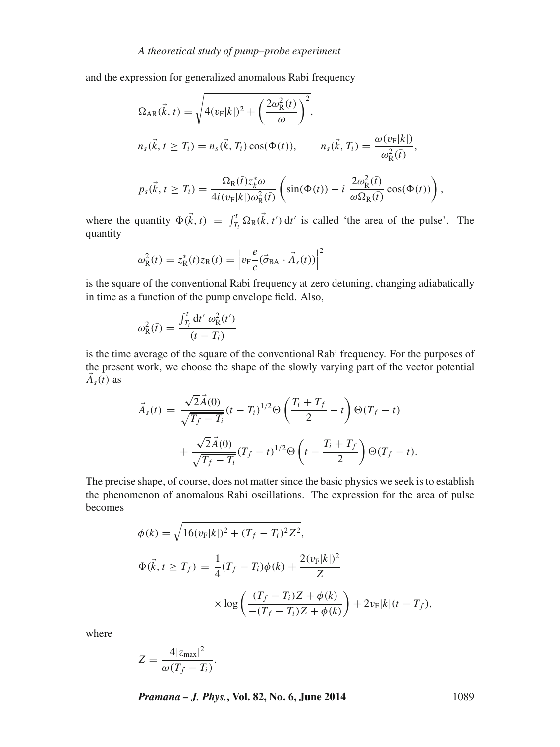and the expression for generalized anomalous Rabi frequency

$$
\Omega_{AR}(\vec{k},t) = \sqrt{4(\nu_{F}|k|)^{2} + \left(\frac{2\omega_{R}^{2}(t)}{\omega}\right)^{2}},
$$
\n
$$
n_{s}(\vec{k},t \geq T_{i}) = n_{s}(\vec{k},T_{i})\cos(\Phi(t)), \qquad n_{s}(\vec{k},T_{i}) = \frac{\omega(\nu_{F}|k|)}{\omega_{R}^{2}(\bar{t})},
$$
\n
$$
p_{s}(\vec{k},t \geq T_{i}) = \frac{\Omega_{R}(\bar{t})z_{k}^{*}\omega}{4i(\nu_{F}|k|)\omega_{R}^{2}(\bar{t})}\left(\sin(\Phi(t)) - i\frac{2\omega_{R}^{2}(\bar{t})}{\omega\Omega_{R}(\bar{t})}\cos(\Phi(t))\right),
$$

where the quantity  $\Phi(\vec{k},t) = \int_{T_i}^t \Omega_R(\vec{k},t') dt'$  is called 'the area of the pulse'. The quantity

$$
\omega_{\mathsf{R}}^2(t) = z_{\mathsf{R}}^*(t) z_{\mathsf{R}}(t) = \left| v_{\mathsf{F}} \frac{e}{c} (\vec{\sigma}_{\mathsf{BA}} \cdot \vec{A}_s(t)) \right|^2
$$

is the square of the conventional Rabi frequency at zero detuning, changing adiabatically in time as a function of the pump envelope field. Also,

$$
\omega_{\mathsf{R}}^2(\bar{t}) = \frac{\int_{T_i}^t \mathrm{d}t' \ \omega_{\mathsf{R}}^2(t')}{(t - T_i)}
$$

is the time average of the square of the conventional Rabi frequency. For the purposes of the present work, we choose the shape of the slowly varying part of the vector potential  $\vec{A}_s(t)$  as

$$
\vec{A}_s(t) = \frac{\sqrt{2}\vec{A}(0)}{\sqrt{T_f - T_i}}(t - T_i)^{1/2} \Theta\left(\frac{T_i + T_f}{2} - t\right) \Theta(T_f - t) + \frac{\sqrt{2}\vec{A}(0)}{\sqrt{T_f - T_i}}(T_f - t)^{1/2} \Theta\left(t - \frac{T_i + T_f}{2}\right) \Theta(T_f - t).
$$

The precise shape, of course, does not matter since the basic physics we seek is to establish the phenomenon of anomalous Rabi oscillations. The expression for the area of pulse becomes

$$
\phi(k) = \sqrt{16(v_F|k|)^2 + (T_f - T_i)^2 Z^2},
$$
  
\n
$$
\Phi(\vec{k}, t \ge T_f) = \frac{1}{4}(T_f - T_i)\phi(k) + \frac{2(v_F|k|)^2}{Z}
$$
  
\n
$$
\times \log\left(\frac{(T_f - T_i)Z + \phi(k)}{-(T_f - T_i)Z + \phi(k)}\right) + 2v_F|k|(t - T_f),
$$

where

$$
Z = \frac{4|z_{\text{max}}|^2}{\omega(T_f - T_i)}.
$$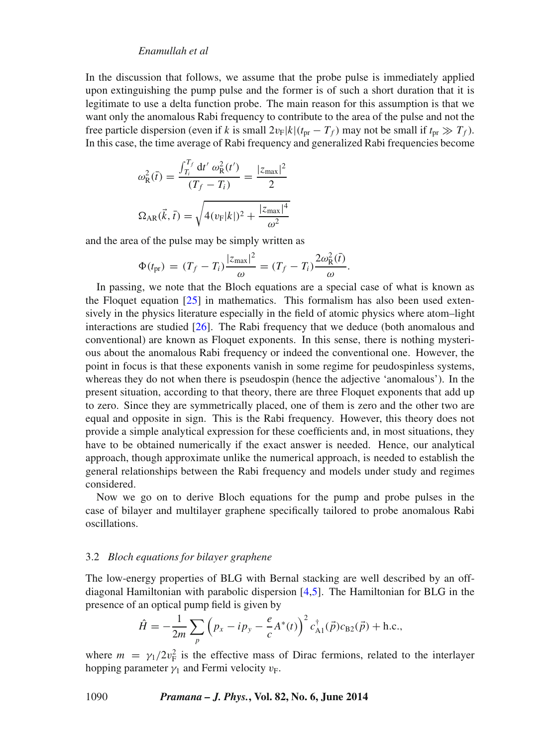In the discussion that follows, we assume that the probe pulse is immediately applied upon extinguishing the pump pulse and the former is of such a short duration that it is legitimate to use a delta function probe. The main reason for this assumption is that we want only the anomalous Rabi frequency to contribute to the area of the pulse and not the free particle dispersion (even if k is small  $2v_F|k|(t_{pr} - T_f)$  may not be small if  $t_{pr} \gg T_f$ ). In this case, the time average of Rabi frequency and generalized Rabi frequencies become

$$
\omega_{\mathsf{R}}^2(\bar{t}) = \frac{\int_{T_i}^{T_f} dt' \omega_{\mathsf{R}}^2(t')}{(T_f - T_i)} = \frac{|z_{\max}|^2}{2}
$$

$$
\Omega_{\mathsf{AR}}(\vec{k}, \vec{t}) = \sqrt{4(v_{\mathsf{F}}|k|)^2 + \frac{|z_{\max}|^4}{\omega^2}}
$$

and the area of the pulse may be simply written as

$$
\Phi(t_{\text{pr}}) = (T_f - T_i) \frac{|z_{\text{max}}|^2}{\omega} = (T_f - T_i) \frac{2\omega_{\text{R}}^2(\bar{t})}{\omega}.
$$

In passing, we note that the Bloch equations are a special case of what is known as the Floquet equation [\[25\]](#page-16-14) in mathematics. This formalism has also been used extensively in the physics literature especially in the field of atomic physics where atom–light interactions are studied [\[26\]](#page-16-15). The Rabi frequency that we deduce (both anomalous and conventional) are known as Floquet exponents. In this sense, there is nothing mysterious about the anomalous Rabi frequency or indeed the conventional one. However, the point in focus is that these exponents vanish in some regime for peudospinless systems, whereas they do not when there is pseudospin (hence the adjective 'anomalous'). In the present situation, according to that theory, there are three Floquet exponents that add up to zero. Since they are symmetrically placed, one of them is zero and the other two are equal and opposite in sign. This is the Rabi frequency. However, this theory does not provide a simple analytical expression for these coefficients and, in most situations, they have to be obtained numerically if the exact answer is needed. Hence, our analytical approach, though approximate unlike the numerical approach, is needed to establish the general relationships between the Rabi frequency and models under study and regimes considered.

Now we go on to derive Bloch equations for the pump and probe pulses in the case of bilayer and multilayer graphene specifically tailored to probe anomalous Rabi oscillations.

## 3.2 *Bloch equations for bilayer graphene*

The low-energy properties of BLG with Bernal stacking are well described by an offdiagonal Hamiltonian with parabolic dispersion [\[4](#page-15-2)[,5\]](#page-15-3). The Hamiltonian for BLG in the presence of an optical pump field is given by

$$
\hat{H} = -\frac{1}{2m} \sum_{p} \left( p_x - ip_y - \frac{e}{c} A^*(t) \right)^2 c_{\text{A1}}^\dagger(\vec{p}) c_{\text{B2}}(\vec{p}) + \text{h.c.},
$$

where  $m = \gamma_1/2v_F^2$  is the effective mass of Dirac fermions, related to the interlayer hopping parameter  $\gamma_1$  and Fermi velocity  $v_F$ .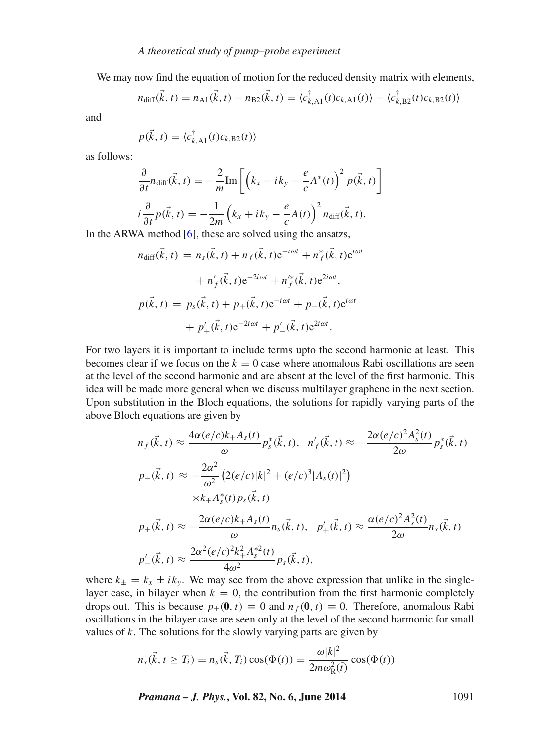We may now find the equation of motion for the reduced density matrix with elements,

$$
n_{\text{diff}}(\vec{k}, t) = n_{\text{A1}}(\vec{k}, t) - n_{\text{B2}}(\vec{k}, t) = \langle c_{k, \text{A1}}^{\dagger}(t)c_{k, \text{A1}}(t) \rangle - \langle c_{k, \text{B2}}^{\dagger}(t)c_{k, \text{B2}}(t) \rangle
$$

and

$$
p(\vec{k},t) = \langle c_{k,\text{A1}}^{\dagger}(t)c_{k,\text{B2}}(t)\rangle
$$

as follows:

$$
\frac{\partial}{\partial t} n_{\text{diff}}(\vec{k}, t) = -\frac{2}{m} \text{Im} \left[ \left( k_x - ik_y - \frac{e}{c} A^*(t) \right)^2 p(\vec{k}, t) \right]
$$
  

$$
i \frac{\partial}{\partial t} p(\vec{k}, t) = -\frac{1}{2m} \left( k_x + ik_y - \frac{e}{c} A(t) \right)^2 n_{\text{diff}}(\vec{k}, t).
$$

In the ARWA method [\[6\]](#page-15-4), these are solved using the ansatzs,

$$
n_{\text{diff}}(\vec{k}, t) = n_s(\vec{k}, t) + n_f(\vec{k}, t)e^{-i\omega t} + n_f^*(\vec{k}, t)e^{i\omega t} + n_f'(\vec{k}, t)e^{-2i\omega t} + n_f'^*(\vec{k}, t)e^{2i\omega t}, p(\vec{k}, t) = p_s(\vec{k}, t) + p_+(\vec{k}, t)e^{-i\omega t} + p_-(\vec{k}, t)e^{i\omega t} + p'_+(\vec{k}, t)e^{-2i\omega t} + p'_-(\vec{k}, t)e^{2i\omega t}.
$$

For two layers it is important to include terms upto the second harmonic at least. This becomes clear if we focus on the  $k = 0$  case where anomalous Rabi oscillations are seen at the level of the second harmonic and are absent at the level of the first harmonic. This idea will be made more general when we discuss multilayer graphene in the next section. Upon substitution in the Bloch equations, the solutions for rapidly varying parts of the above Bloch equations are given by

$$
n_{f}(\vec{k},t) \approx \frac{4\alpha(e/c)k_{+}A_{s}(t)}{\omega} p_{s}^{*}(\vec{k},t), \quad n'_{f}(\vec{k},t) \approx -\frac{2\alpha(e/c)^{2}A_{s}^{2}(t)}{2\omega} p_{s}^{*}(\vec{k},t)
$$
  
\n
$$
p_{-}(\vec{k},t) \approx -\frac{2\alpha^{2}}{\omega^{2}} \left(2(e/c)|k|^{2} + (e/c)^{3}|A_{s}(t)|^{2}\right)
$$
  
\n
$$
\times k_{+}A_{s}^{*}(t)p_{s}(\vec{k},t)
$$
  
\n
$$
p_{+}(\vec{k},t) \approx -\frac{2\alpha(e/c)k_{+}A_{s}(t)}{\omega} n_{s}(\vec{k},t), \quad p'_{+}(\vec{k},t) \approx \frac{\alpha(e/c)^{2}A_{s}^{2}(t)}{2\omega} n_{s}(\vec{k},t)
$$
  
\n
$$
p'_{-}(\vec{k},t) \approx \frac{2\alpha^{2}(e/c)^{2}k_{+}^{2}A_{s}^{*2}(t)}{4\omega^{2}} p_{s}(\vec{k},t),
$$

where  $k_{\pm} = k_x \pm ik_y$ . We may see from the above expression that unlike in the singlelayer case, in bilayer when  $k = 0$ , the contribution from the first harmonic completely drops out. This is because  $p_{\pm}(0, t) \equiv 0$  and  $n_f(0, t) \equiv 0$ . Therefore, anomalous Rabi oscillations in the bilayer case are seen only at the level of the second harmonic for small values of  $k$ . The solutions for the slowly varying parts are given by

$$
n_s(\vec{k}, t \ge T_i) = n_s(\vec{k}, T_i) \cos(\Phi(t)) = \frac{\omega |k|^2}{2m\omega_{\rm R}^2(\bar{t})} \cos(\Phi(t))
$$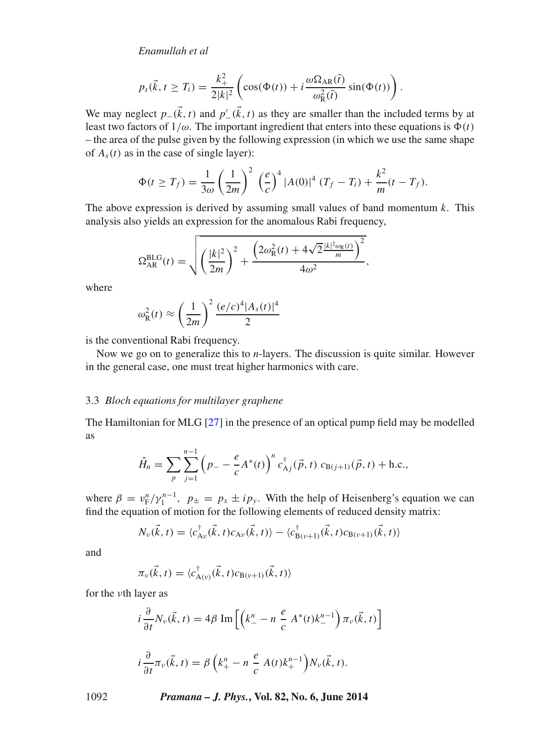$$
p_s(\vec{k}, t \geq T_i) = \frac{k_+^2}{2|k|^2} \left( \cos(\Phi(t)) + i \frac{\omega \Omega_{AR}(\vec{t})}{\omega_R^2(\vec{t})} \sin(\Phi(t)) \right).
$$

We may neglect  $p_-(k, t)$  and  $p'_-(k, t)$  as they are smaller than the included terms by at least two factors of  $1/\omega$ . The important ingredient that enters into these equations is  $\Phi(t)$ – the area of the pulse given by the following expression (in which we use the same shape of  $A<sub>s</sub>(t)$  as in the case of single layer):

$$
\Phi(t \geq T_f) = \frac{1}{3\omega} \left(\frac{1}{2m}\right)^2 \left(\frac{e}{c}\right)^4 |A(0)|^4 (T_f - T_i) + \frac{k^2}{m}(t - T_f).
$$

The above expression is derived by assuming small values of band momentum  $k$ . This analysis also yields an expression for the anomalous Rabi frequency,

$$
\Omega_{\rm AR}^{\rm BLG}(t) = \sqrt{\left(\frac{|k|^2}{2m}\right)^2 + \frac{\left(2\omega_{\rm R}^2(t) + 4\sqrt{2}\frac{|k|^2\omega_{\rm R}(t)}{m}\right)^2}{4\omega^2}},
$$

where

$$
\omega_{\rm R}^2(t) \approx \left(\frac{1}{2m}\right)^2 \frac{(e/c)^4 |A_s(t)|^4}{2}
$$

is the conventional Rabi frequency.

Now we go on to generalize this to *n*-layers. The discussion is quite similar. However in the general case, one must treat higher harmonics with care.

#### 3.3 *Bloch equations for multilayer graphene*

The Hamiltonian for MLG [\[27\]](#page-16-16) in the presence of an optical pump field may be modelled as

$$
\hat{H}_n = \sum_{p} \sum_{j=1}^{n-1} \left( p_- - \frac{e}{c} A^*(t) \right)^n c_{\text{A}j}^\dagger(\vec{p}, t) \ c_{\text{B}(j+1)}(\vec{p}, t) + \text{h.c.},
$$

where  $\beta = v_F^n / \gamma_1^{n-1}$ ,  $p_{\pm} = p_x \pm i p_y$ . With the help of Heisenberg's equation we can find the equation of motion for the following elements of reduced density matrix:

$$
N_{\nu}(\vec{k},t) = \langle c_{\mathbf{A}\nu}^{\dagger}(\vec{k},t)c_{\mathbf{A}\nu}(\vec{k},t)\rangle - \langle c_{\mathbf{B}(\nu+1)}^{\dagger}(\vec{k},t)c_{\mathbf{B}(\nu+1)}(\vec{k},t)\rangle
$$

and

$$
\pi_{\nu}(\vec{k},t) = \langle c_{A(\nu)}^{\dagger}(\vec{k},t)c_{B(\nu+1)}(\vec{k},t)\rangle
$$

for the νth layer as

$$
i\frac{\partial}{\partial t}N_{\nu}(\vec{k},t) = 4\beta \operatorname{Im}\left[\left(k_{-}^{n} - n\frac{e}{c}A^{*}(t)k_{-}^{n-1}\right)\pi_{\nu}(\vec{k},t)\right]
$$

$$
i\frac{\partial}{\partial t}\pi_{\nu}(\vec{k},t) = \beta\left(k_{+}^{n} - n\frac{e}{c}A(t)k_{+}^{n-1}\right)N_{\nu}(\vec{k},t).
$$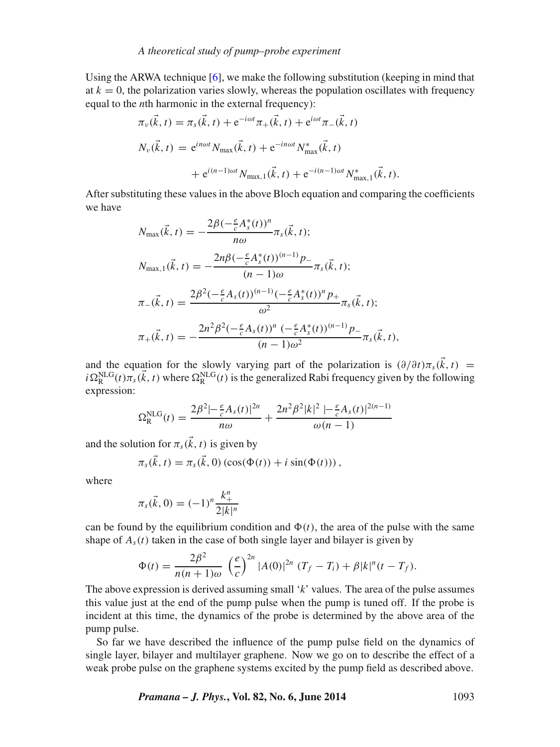Using the ARWA technique [\[6\]](#page-15-4), we make the following substitution (keeping in mind that at  $k = 0$ , the polarization varies slowly, whereas the population oscillates with frequency equal to the *n*th harmonic in the external frequency):

$$
\pi_{\nu}(\vec{k}, t) = \pi_{s}(\vec{k}, t) + e^{-i\omega t}\pi_{+}(\vec{k}, t) + e^{i\omega t}\pi_{-}(\vec{k}, t)
$$
  

$$
N_{\nu}(\vec{k}, t) = e^{in\omega t}N_{\text{max}}(\vec{k}, t) + e^{-in\omega t}N_{\text{max}}^{*}(\vec{k}, t)
$$

$$
+ e^{i(n-1)\omega t}N_{\text{max}, 1}(\vec{k}, t) + e^{-i(n-1)\omega t}N_{\text{max}, 1}^{*}(\vec{k}, t).
$$

After substituting these values in the above Bloch equation and comparing the coefficients we have

$$
N_{\max}(\vec{k},t) = -\frac{2\beta(-\frac{e}{c}A_s^*(t))^n}{n\omega}\pi_s(\vec{k},t);
$$
  
\n
$$
N_{\max,1}(\vec{k},t) = -\frac{2n\beta(-\frac{e}{c}A_s^*(t))^{(n-1)}P_{-\pi_s}(\vec{k},t)}{(n-1)\omega}\pi_s(\vec{k},t);
$$
  
\n
$$
\pi_{-}(\vec{k},t) = \frac{2\beta^2(-\frac{e}{c}A_s(t))^{(n-1)}(-\frac{e}{c}A_s^*(t))^nP_{+\pi_s}(\vec{k},t)}{\omega^2}\pi_s(\vec{k},t);
$$
  
\n
$$
\pi_{+}(\vec{k},t) = -\frac{2n^2\beta^2(-\frac{e}{c}A_s(t))^n(-\frac{e}{c}A_s^*(t))^{(n-1)}P_{-\pi_s}(\vec{k},t)}{(n-1)\omega^2}\pi_s(\vec{k},t),
$$

and the equation for the slowly varying part of the polarization is  $(\partial/\partial t)\pi_s(\vec{k},t)$  =  $i\Omega_R^{NLG}(t)\pi_s(\vec{k},t)$  where  $\Omega_R^{NLG}(t)$  is the generalized Rabi frequency given by the following expression:

$$
\Omega_R^{\text{NLG}}(t) = \frac{2\beta^2 \left| -\frac{e}{c}A_s(t) \right|^{2n}}{n\omega} + \frac{2n^2\beta^2 |k|^2 \left| -\frac{e}{c}A_s(t) \right|^{2(n-1)}}{\omega(n-1)}
$$

and the solution for  $\pi_s(\vec{k},t)$  is given by

$$
\pi_s(\vec{k},t) = \pi_s(\vec{k},0) \left(\cos(\Phi(t)) + i \sin(\Phi(t))\right),\,
$$

where

$$
\pi_s(\vec{k},0) = (-1)^n \frac{k_+^n}{2|k|^n}
$$

can be found by the equilibrium condition and  $\Phi(t)$ , the area of the pulse with the same shape of  $A_s(t)$  taken in the case of both single layer and bilayer is given by

$$
\Phi(t) = \frac{2\beta^2}{n(n+1)\omega} \left(\frac{e}{c}\right)^{2n} |A(0)|^{2n} (T_f - T_i) + \beta |k|^n (t - T_f).
$$

The above expression is derived assuming small '*k*' values. The area of the pulse assumes this value just at the end of the pump pulse when the pump is tuned off. If the probe is incident at this time, the dynamics of the probe is determined by the above area of the pump pulse.

So far we have described the influence of the pump pulse field on the dynamics of single layer, bilayer and multilayer graphene. Now we go on to describe the effect of a weak probe pulse on the graphene systems excited by the pump field as described above.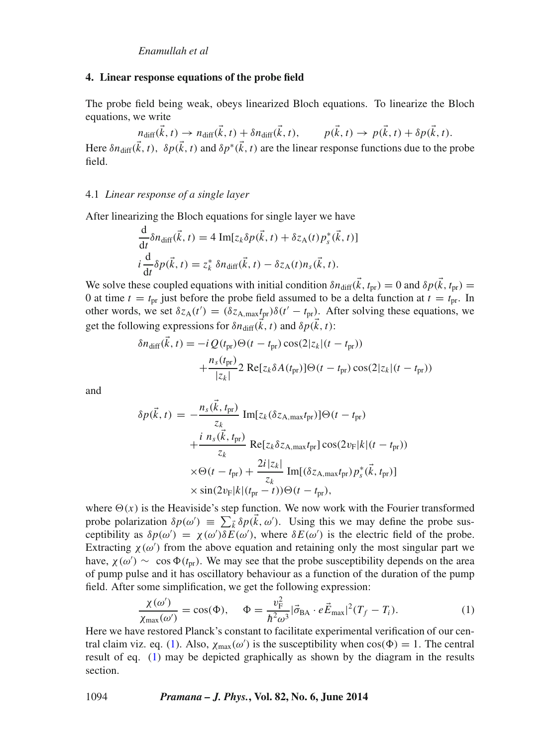#### **4. Linear response equations of the probe field**

The probe field being weak, obeys linearized Bloch equations. To linearize the Bloch equations, we write

 $n_{\text{diff}}(\vec{k},t) \rightarrow n_{\text{diff}}(\vec{k},t) + \delta n_{\text{diff}}(\vec{k},t), \qquad p(\vec{k},t) \rightarrow p(\vec{k},t) + \delta p(\vec{k},t).$ 

Here  $\delta n_{\text{diff}}(\vec{k},t)$ ,  $\delta p(\vec{k},t)$  and  $\delta p^*(\vec{k},t)$  are the linear response functions due to the probe field.

### 4.1 *Linear response of a single layer*

After linearizing the Bloch equations for single layer we have

$$
\frac{\mathrm{d}}{\mathrm{d}t} \delta n_{\mathrm{diff}}(\vec{k}, t) = 4 \, \mathrm{Im}[z_k \delta p(\vec{k}, t) + \delta z_A(t) p_s^* (\vec{k}, t)]
$$
\n
$$
i \frac{\mathrm{d}}{\mathrm{d}t} \delta p(\vec{k}, t) = z_k^* \, \delta n_{\mathrm{diff}}(\vec{k}, t) - \delta z_A(t) n_s(\vec{k}, t).
$$

We solve these coupled equations with initial condition  $\delta n_{\text{diff}}(\vec{k}, t_{\text{pr}}) = 0$  and  $\delta p(\vec{k}, t_{\text{pr}}) =$ 0 at time  $t = t_{pr}$  just before the probe field assumed to be a delta function at  $t = t_{pr}$ . In other words, we set  $\delta z_A(t') = (\delta z_{A,\max} t_{\text{pr}}) \delta(t' - t_{\text{pr}})$ . After solving these equations, we get the following expressions for  $\delta n_{\text{diff}}(\vec{k},t)$  and  $\delta p(\vec{k},t)$ :

$$
\delta n_{\text{diff}}(k, t) = -i Q(t_{\text{pr}}) \Theta(t - t_{\text{pr}}) \cos(2|z_k|(t - t_{\text{pr}}))
$$

$$
+ \frac{n_s(t_{\text{pr}})}{|z_k|} 2 \operatorname{Re}[z_k \delta A(t_{\text{pr}})] \Theta(t - t_{\text{pr}}) \cos(2|z_k|(t - t_{\text{pr}}))
$$

and

$$
\delta p(\vec{k},t) = -\frac{n_s(\vec{k},t_{\rm pr})}{z_k} Im[z_k(\delta z_{\rm A,max}t_{\rm pr})] \Theta(t-t_{\rm pr}) \n+ \frac{i n_s(\vec{k},t_{\rm pr})}{z_k} Re[z_k\delta z_{\rm A,max}t_{\rm pr}] cos(2v_{\rm F}|k|(t-t_{\rm pr})) \n\times \Theta(t-t_{\rm pr}) + \frac{2i|z_k|}{z_k} Im[(\delta z_{\rm A,max}t_{\rm pr})p_s^*(\vec{k},t_{\rm pr})] \n\times sin(2v_{\rm F}|k|(t_{\rm pr}-t)) \Theta(t-t_{\rm pr}),
$$

where  $\Theta(x)$  is the Heaviside's step function. We now work with the Fourier transformed probe polarization  $\delta p(\omega') \equiv \sum_{\vec{k}} \delta p(k, \omega')$ . Using this we may define the probe susceptibility as  $\delta p(\omega') = \chi(\omega') \delta E(\omega')$ , where  $\delta E(\omega')$  is the electric field of the probe. Extracting  $\chi(\omega')$  from the above equation and retaining only the most singular part we have,  $\chi(\omega') \sim \cos \Phi(t_{\text{pr}})$ . We may see that the probe susceptibility depends on the area of pump pulse and it has oscillatory behaviour as a function of the duration of the pump field. After some simplification, we get the following expression:

<span id="page-9-0"></span>
$$
\frac{\chi(\omega')}{\chi_{\text{max}}(\omega')} = \cos(\Phi), \quad \Phi = \frac{v_{\text{F}}^2}{\hbar^2 \omega^3} |\vec{\sigma}_{\text{BA}} \cdot e \vec{E}_{\text{max}}|^2 (T_f - T_i). \tag{1}
$$

 $\chi_{\text{max}}(\omega')$   $\hbar^2 \omega^3$   $\mu^2$   $\omega^3$   $\mu^4$   $\omega^5$   $\mu^2$   $\omega^3$   $\mu^4$   $\omega^5$   $\mu^6$   $\mu^7$   $\mu^8$   $\mu^9$   $\mu^8$   $\mu^9$   $\mu^9$   $\mu^9$   $\mu^9$   $\mu^9$   $\mu^9$   $\mu^9$   $\mu^9$   $\mu^9$   $\mu^9$   $\mu^9$   $\mu^9$   $\mu^9$   $\mu^9$   $\mu^9$ tral claim viz. eq. [\(1\)](#page-9-0). Also,  $\chi_{\text{max}}(\omega')$  is the susceptibility when  $\cos(\Phi) = 1$ . The central result of eq. [\(1\)](#page-9-0) may be depicted graphically as shown by the diagram in the results section.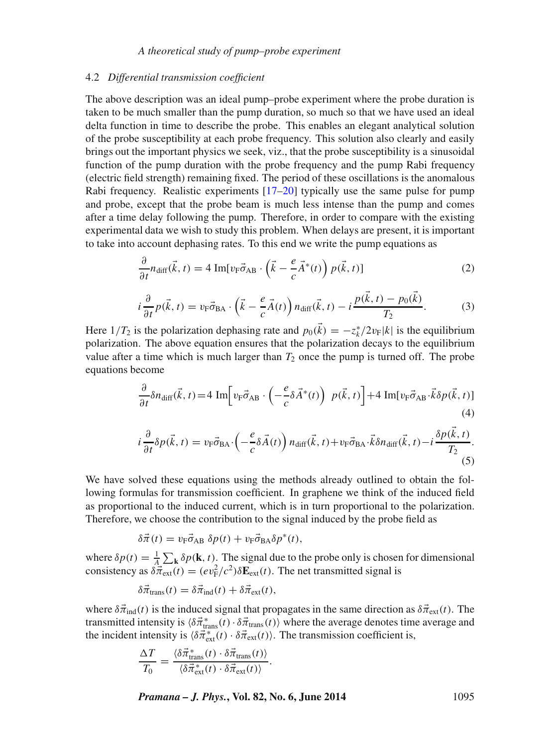#### 4.2 *Differential transmission coefficient*

The above description was an ideal pump–probe experiment where the probe duration is taken to be much smaller than the pump duration, so much so that we have used an ideal delta function in time to describe the probe. This enables an elegant analytical solution of the probe susceptibility at each probe frequency. This solution also clearly and easily brings out the important physics we seek, viz., that the probe susceptibility is a sinusoidal function of the pump duration with the probe frequency and the pump Rabi frequency (electric field strength) remaining fixed. The period of these oscillations is the anomalous Rabi frequency. Realistic experiments [\[17–](#page-16-6)[20\]](#page-16-9) typically use the same pulse for pump and probe, except that the probe beam is much less intense than the pump and comes after a time delay following the pump. Therefore, in order to compare with the existing experimental data we wish to study this problem. When delays are present, it is important to take into account dephasing rates. To this end we write the pump equations as

$$
\frac{\partial}{\partial t} n_{\text{diff}}(\vec{k}, t) = 4 \operatorname{Im} [v_{\text{F}} \vec{\sigma}_{\text{AB}} \cdot (\vec{k} - \frac{e}{c} \vec{A}^*(t)) p(\vec{k}, t)] \tag{2}
$$

$$
i\frac{\partial}{\partial t}p(\vec{k},t) = v_{\rm F}\vec{\sigma}_{\rm BA} \cdot \left(\vec{k} - \frac{e}{c}\vec{A}(t)\right) n_{\rm diff}(\vec{k},t) - i\frac{p(\vec{k},t) - p_0(\vec{k})}{T_2}.\tag{3}
$$

Here  $1/T_2$  is the polarization dephasing rate and  $p_0(k) = -\frac{z}{k} \frac{2v_F(k)}{\text{ is the equilibrium}}$ polarization. The above equation ensures that the polarization decays to the equilibrium value after a time which is much larger than  $T_2$  once the pump is turned off. The probe equations become

$$
\frac{\partial}{\partial t} \delta n_{\text{diff}}(\vec{k}, t) = 4 \operatorname{Im} \left[ v_{\text{F}} \vec{\sigma}_{\text{AB}} \cdot \left( -\frac{e}{c} \vec{A}^*(t) \right) \ p(\vec{k}, t) \right] + 4 \operatorname{Im} [v_{\text{F}} \vec{\sigma}_{\text{AB}} \cdot \vec{k} \delta p(\vec{k}, t)] \tag{4}
$$

$$
i\frac{\partial}{\partial t}\delta p(\vec{k},t) = v_{\rm F}\vec{\sigma}_{\rm BA}\cdot \left(-\frac{e}{c}\delta\vec{A}(t)\right)n_{\rm diff}(\vec{k},t) + v_{\rm F}\vec{\sigma}_{\rm BA}\cdot \vec{k}\delta n_{\rm diff}(\vec{k},t) - i\frac{\delta p(\vec{k},t)}{T_2}.\tag{5}
$$

We have solved these equations using the methods already outlined to obtain the following formulas for transmission coefficient. In graphene we think of the induced field as proportional to the induced current, which is in turn proportional to the polarization. Therefore, we choose the contribution to the signal induced by the probe field as

$$
\delta \vec{\pi}(t) = v_{\rm F} \vec{\sigma}_{\rm AB} \ \delta p(t) + v_{\rm F} \vec{\sigma}_{\rm BA} \delta p^*(t),
$$

where  $\delta p(t) = \frac{1}{A} \sum_{\mathbf{k}} \delta p(\mathbf{k}, t)$ . The signal due to the probe only is chosen for dimensional consistency as  $\delta \vec{\pi}_{ext}(t) = (ev_F^2/c^2) \delta \mathbf{E}_{ext}(t)$ . The net transmitted signal is

$$
\delta \vec{\pi}_{\text{trans}}(t) = \delta \vec{\pi}_{\text{ind}}(t) + \delta \vec{\pi}_{\text{ext}}(t),
$$

where  $\delta \vec{\pi}_{ind}(t)$  is the induced signal that propagates in the same direction as  $\delta \vec{\pi}_{ext}(t)$ . The transmitted intensity is  $\langle \delta \vec{\pi}_{\text{trans}}^*(t) \cdot \delta \vec{\pi}_{\text{trans}}(t) \rangle$  where the average denotes time average and the incident intensity is  $\langle \delta \vec{\pi}_{ext}^*(t) \cdot \delta \vec{\pi}_{ext}(t) \rangle$ . The transmission coefficient is,

$$
\frac{\Delta T}{T_0} = \frac{\langle \delta \vec{\pi}_{\text{trans}}^*(t) \cdot \delta \vec{\pi}_{\text{trans}}(t) \rangle}{\langle \delta \vec{\pi}_{\text{ext}}^*(t) \cdot \delta \vec{\pi}_{\text{ext}}(t) \rangle}.
$$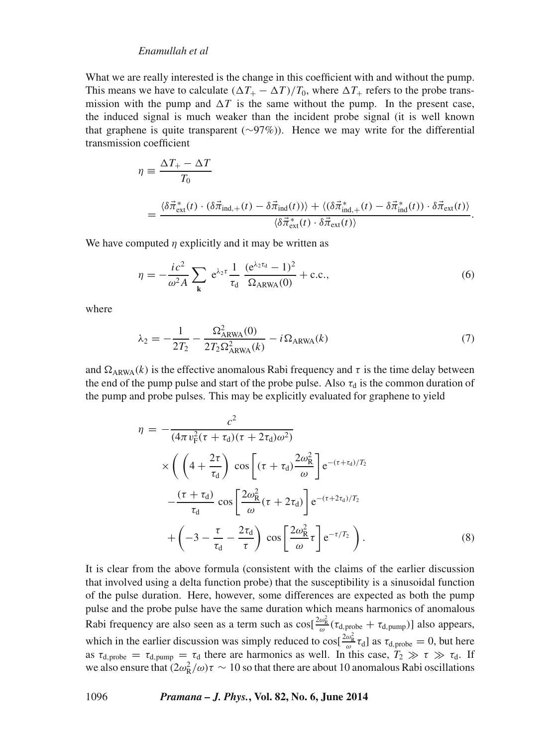What we are really interested is the change in this coefficient with and without the pump. This means we have to calculate  $(\Delta T_{+} - \Delta T)/T_0$ , where  $\Delta T_{+}$  refers to the probe transmission with the pump and  $\Delta T$  is the same without the pump. In the present case, the induced signal is much weaker than the incident probe signal (it is well known that graphene is quite transparent ( $\sim$ 97%)). Hence we may write for the differential transmission coefficient

$$
\eta = \frac{\Delta T_{+} - \Delta T}{T_{0}}
$$
  
= 
$$
\frac{\langle \delta \vec{\pi}_{\text{ext}}^{*}(t) \cdot (\delta \vec{\pi}_{\text{ind},+}(t) - \delta \vec{\pi}_{\text{ind}}(t)) \rangle + \langle (\delta \vec{\pi}_{\text{ind},+}^{*}(t) - \delta \vec{\pi}_{\text{ind}}^{*}(t)) \cdot \delta \vec{\pi}_{\text{ext}}(t) \rangle}{\langle \delta \vec{\pi}_{\text{ext}}^{*}(t) \cdot \delta \vec{\pi}_{\text{ext}}(t) \rangle}.
$$

We have computed  $\eta$  explicitly and it may be written as

$$
\eta = -\frac{ic^2}{\omega^2 A} \sum_{\mathbf{k}} e^{\lambda_2 \tau} \frac{1}{\tau_d} \frac{(e^{\lambda_2 \tau_d} - 1)^2}{\Omega_{\text{ARWA}}(0)} + \text{c.c.},\tag{6}
$$

where

$$
\lambda_2 = -\frac{1}{2T_2} - \frac{\Omega_{\text{ARWA}}^2(0)}{2T_2 \Omega_{\text{ARWA}}^2(k)} - i\Omega_{\text{ARWA}}(k) \tag{7}
$$

and  $\Omega_{ARWA}(k)$  is the effective anomalous Rabi frequency and  $\tau$  is the time delay between the end of the pump pulse and start of the probe pulse. Also  $\tau_d$  is the common duration of the pump and probe pulses. This may be explicitly evaluated for graphene to yield

<span id="page-11-0"></span>
$$
\eta = -\frac{c^2}{(4\pi v_F^2(\tau + \tau_d)(\tau + 2\tau_d)\omega^2)}
$$
  
\n
$$
\times \left( \left( 4 + \frac{2\tau}{\tau_d} \right) \cos\left[ (\tau + \tau_d) \frac{2\omega_R^2}{\omega} \right] e^{-(\tau + \tau_d)/T_2}
$$
  
\n
$$
- \frac{(\tau + \tau_d)}{\tau_d} \cos\left[ \frac{2\omega_R^2}{\omega} (\tau + 2\tau_d) \right] e^{-(\tau + 2\tau_d)/T_2}
$$
  
\n
$$
+ \left( -3 - \frac{\tau}{\tau_d} - \frac{2\tau_d}{\tau} \right) \cos\left[ \frac{2\omega_R^2}{\omega} \tau \right] e^{-\tau/T_2} \right).
$$
 (8)

It is clear from the above formula (consistent with the claims of the earlier discussion that involved using a delta function probe) that the susceptibility is a sinusoidal function of the pulse duration. Here, however, some differences are expected as both the pump pulse and the probe pulse have the same duration which means harmonics of anomalous Rabi frequency are also seen as a term such as  $cos[\frac{2\omega_R^2}{\omega}(\tau_{d,probe} + \tau_{d,pump})]$  also appears, which in the earlier discussion was simply reduced to  $cos[\frac{2\omega_{R}^{2}}{\omega}\tau_{d}]$  as  $\tau_{d,probe} = 0$ , but here as  $\tau_{d,probe} = \tau_{d,pump} = \tau_d$  there are harmonics as well. In this case,  $T_2 \gg \tau \gg \tau_d$ . If we also ensure that  $(2\omega_R^2/\omega)\tau \sim 10$  so that there are about 10 anomalous Rabi oscillations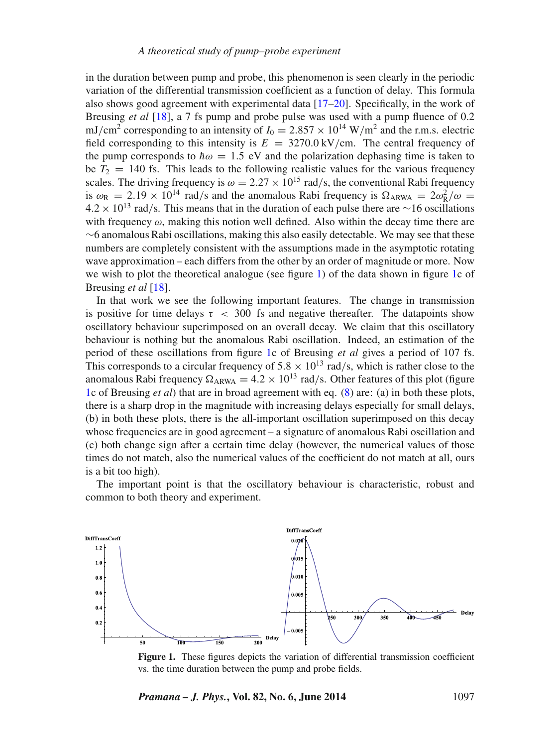in the duration between pump and probe, this phenomenon is seen clearly in the periodic variation of the differential transmission coefficient as a function of delay. This formula also shows good agreement with experimental data  $[17–20]$  $[17–20]$ . Specifically, in the work of Breusing *et al* [\[18\]](#page-16-7), a 7 fs pump and probe pulse was used with a pump fluence of 0.2 mJ/cm<sup>2</sup> corresponding to an intensity of  $I_0 = 2.857 \times 10^{14}$  W/m<sup>2</sup> and the r.m.s. electric field corresponding to this intensity is  $E = 3270.0 \text{ kV/cm}$ . The central frequency of the pump corresponds to  $\hbar \omega = 1.5$  eV and the polarization dephasing time is taken to be  $T_2 = 140$  fs. This leads to the following realistic values for the various frequency scales. The driving frequency is  $\omega = 2.27 \times 10^{15}$  rad/s, the conventional Rabi frequency is  $\omega_R = 2.19 \times 10^{14}$  rad/s and the anomalous Rabi frequency is  $\Omega_{ARWA} = 2\omega_R^2/\omega =$ 4.2 × 10<sup>13</sup> rad/s. This means that in the duration of each pulse there are ∼16 oscillations with frequency  $\omega$ , making this notion well defined. Also within the decay time there are ∼6 anomalous Rabi oscillations, making this also easily detectable. We may see that these numbers are completely consistent with the assumptions made in the asymptotic rotating wave approximation – each differs from the other by an order of magnitude or more. Now we wish to plot the theoretical analogue (see figure [1\)](#page-12-0) of the data shown in figure [1c](#page-12-0) of Breusing *et al* [\[18\]](#page-16-7).

In that work we see the following important features. The change in transmission is positive for time delays  $\tau$  < 300 fs and negative thereafter. The datapoints show oscillatory behaviour superimposed on an overall decay. We claim that this oscillatory behaviour is nothing but the anomalous Rabi oscillation. Indeed, an estimation of the period of these oscillations from figure [1c](#page-12-0) of Breusing *et al* gives a period of 107 fs. This corresponds to a circular frequency of  $5.8 \times 10^{13}$  rad/s, which is rather close to the anomalous Rabi frequency  $\Omega_{ARWA} = 4.2 \times 10^{13}$  rad/s. Other features of this plot (figure [1c](#page-12-0) of Breusing *et al*) that are in broad agreement with eq. [\(8\)](#page-11-0) are: (a) in both these plots, there is a sharp drop in the magnitude with increasing delays especially for small delays, (b) in both these plots, there is the all-important oscillation superimposed on this decay whose frequencies are in good agreement – a signature of anomalous Rabi oscillation and (c) both change sign after a certain time delay (however, the numerical values of those times do not match, also the numerical values of the coefficient do not match at all, ours is a bit too high).

The important point is that the oscillatory behaviour is characteristic, robust and common to both theory and experiment.

<span id="page-12-0"></span>

**Figure 1.** These figures depicts the variation of differential transmission coefficient vs. the time duration between the pump and probe fields.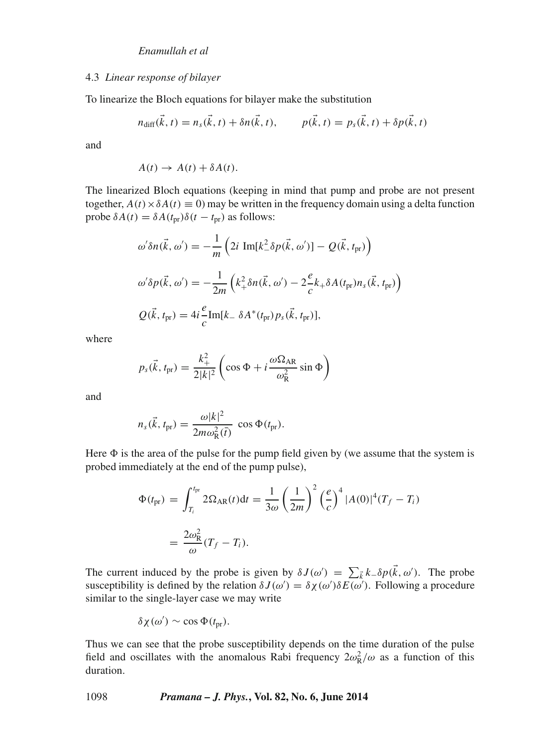#### 4.3 *Linear response of bilayer*

To linearize the Bloch equations for bilayer make the substitution

$$
n_{\text{diff}}(\vec{k}, t) = n_s(\vec{k}, t) + \delta n(\vec{k}, t), \qquad p(\vec{k}, t) = p_s(\vec{k}, t) + \delta p(\vec{k}, t)
$$

and

$$
A(t) \to A(t) + \delta A(t).
$$

The linearized Bloch equations (keeping in mind that pump and probe are not present together,  $A(t) \times \delta A(t) \equiv 0$ ) may be written in the frequency domain using a delta function probe  $\delta A(t) = \delta A(t_{pr})\delta(t - t_{pr})$  as follows:

$$
\omega'\delta n(\vec{k}, \omega') = -\frac{1}{m} \left( 2i \operatorname{Im}[k_{-}^{2} \delta p(\vec{k}, \omega')] - Q(\vec{k}, t_{\text{pr}}) \right)
$$
  

$$
\omega'\delta p(\vec{k}, \omega') = -\frac{1}{2m} \left( k_{+}^{2} \delta n(\vec{k}, \omega') - 2\frac{e}{c} k_{+} \delta A(t_{\text{pr}}) n_{s}(\vec{k}, t_{\text{pr}}) \right)
$$
  

$$
Q(\vec{k}, t_{\text{pr}}) = 4i \frac{e}{c} \operatorname{Im}[k_{-} \delta A^{*}(t_{\text{pr}}) p_{s}(\vec{k}, t_{\text{pr}})],
$$

where

$$
p_s(\vec{k}, t_{\text{pr}}) = \frac{k_+^2}{2|k|^2} \left( \cos \Phi + i \frac{\omega \Omega_{\text{AR}}}{\omega_{\text{R}}^2} \sin \Phi \right)
$$

and

$$
n_{s}(\vec{k}, t_{\text{pr}}) = \frac{\omega |k|^{2}}{2m\omega_{\text{R}}^{2}(\bar{t})} \cos \Phi(t_{\text{pr}}).
$$

Here  $\Phi$  is the area of the pulse for the pump field given by (we assume that the system is probed immediately at the end of the pump pulse),

$$
\Phi(t_{\text{pr}}) = \int_{T_i}^{t_{\text{pr}}} 2\Omega_{\text{AR}}(t)dt = \frac{1}{3\omega} \left(\frac{1}{2m}\right)^2 \left(\frac{e}{c}\right)^4 |A(0)|^4 (T_f - T_i)
$$

$$
= \frac{2\omega_{\text{R}}^2}{\omega} (T_f - T_i).
$$

The current induced by the probe is given by  $\delta J(\omega') = \sum_{\vec{k}} k_{-\delta} p(k, \omega')$ . The probe susceptibility is defined by the relation  $\delta J(\omega') = \delta \chi(\omega') \delta E(\omega')$ . Following a procedure similar to the single-layer case we may write

$$
\delta \chi(\omega') \sim \cos \Phi(t_{\rm pr}).
$$

Thus we can see that the probe susceptibility depends on the time duration of the pulse field and oscillates with the anomalous Rabi frequency  $2\omega_R^2/\omega$  as a function of this duration.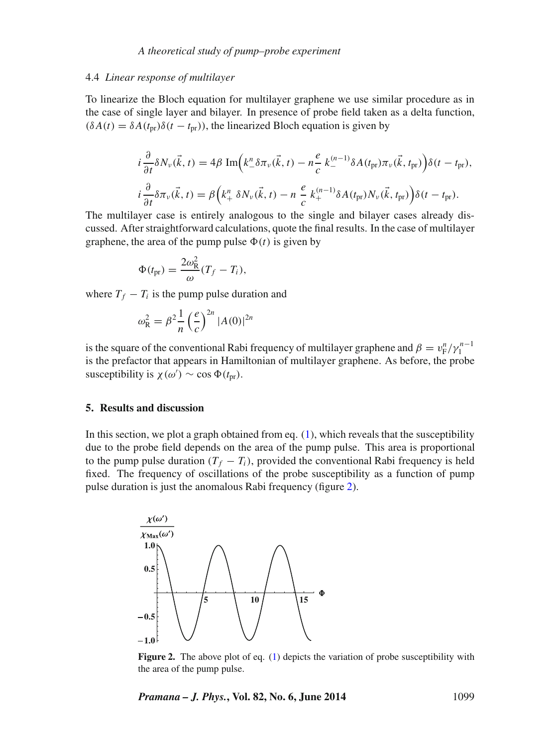#### 4.4 *Linear response of multilayer*

To linearize the Bloch equation for multilayer graphene we use similar procedure as in the case of single layer and bilayer. In presence of probe field taken as a delta function,  $(\delta A(t) = \delta A(t_{pr})\delta(t - t_{pr}))$ , the linearized Bloch equation is given by

$$
i\frac{\partial}{\partial t}\delta N_{\nu}(\vec{k},t) = 4\beta \operatorname{Im}\left(k_{-}^{n}\delta\pi_{\nu}(\vec{k},t) - n\frac{e}{c} k_{-}^{(n-1)}\delta A(t_{\text{pr}})\pi_{\nu}(\vec{k},t_{\text{pr}})\right)\delta(t - t_{\text{pr}}),
$$
  

$$
i\frac{\partial}{\partial t}\delta\pi_{\nu}(\vec{k},t) = \beta \Big(k_{+}^{n}\delta N_{\nu}(\vec{k},t) - n\frac{e}{c} k_{+}^{(n-1)}\delta A(t_{\text{pr}})N_{\nu}(\vec{k},t_{\text{pr}})\Big)\delta(t - t_{\text{pr}}).
$$

The multilayer case is entirely analogous to the single and bilayer cases already discussed. After straightforward calculations, quote the final results. In the case of multilayer graphene, the area of the pump pulse  $\Phi(t)$  is given by

$$
\Phi(t_{\rm pr}) = \frac{2\omega_{\rm R}^2}{\omega}(T_f - T_i),
$$

where  $T_f - T_i$  is the pump pulse duration and

$$
\omega_{\rm R}^2 = \beta^2 \frac{1}{n} \left(\frac{e}{c}\right)^{2n} |A(0)|^{2n}
$$

is the square of the conventional Rabi frequency of multilayer graphene and  $\beta = v_F^n / \gamma_1^{n-1}$ is the prefactor that appears in Hamiltonian of multilayer graphene. As before, the probe susceptibility is  $\chi(\omega') \sim \cos \Phi(t_{\text{pr}})$ .

## <span id="page-14-0"></span>**5. Results and discussion**

In this section, we plot a graph obtained from eq.  $(1)$ , which reveals that the susceptibility due to the probe field depends on the area of the pump pulse. This area is proportional to the pump pulse duration  $(T_f - T_i)$ , provided the conventional Rabi frequency is held fixed. The frequency of oscillations of the probe susceptibility as a function of pump pulse duration is just the anomalous Rabi frequency (figure [2\)](#page-14-1).

<span id="page-14-1"></span>

Figure 2. The above plot of eq. [\(1\)](#page-9-0) depicts the variation of probe susceptibility with the area of the pump pulse.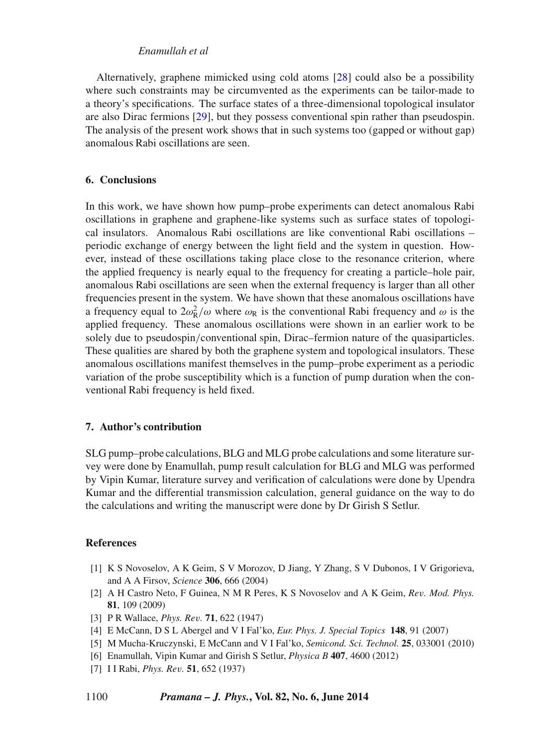Alternatively, graphene mimicked using cold atoms [\[28\]](#page-16-17) could also be a possibility where such constraints may be circumvented as the experiments can be tailor-made to a theory's specifications. The surface states of a three-dimensional topological insulator are also Dirac fermions [\[29\]](#page-16-18), but they possess conventional spin rather than pseudospin. The analysis of the present work shows that in such systems too (gapped or without gap) anomalous Rabi oscillations are seen.

## **6. Conclusions**

In this work, we have shown how pump–probe experiments can detect anomalous Rabi oscillations in graphene and graphene-like systems such as surface states of topological insulators. Anomalous Rabi oscillations are like conventional Rabi oscillations – periodic exchange of energy between the light field and the system in question. However, instead of these oscillations taking place close to the resonance criterion, where the applied frequency is nearly equal to the frequency for creating a particle–hole pair, anomalous Rabi oscillations are seen when the external frequency is larger than all other frequencies present in the system. We have shown that these anomalous oscillations have a frequency equal to  $2\omega_{\rm R}^2/\omega$  where  $\omega_{\rm R}$  is the conventional Rabi frequency and  $\omega$  is the applied frequency. These anomalous oscillations were shown in an earlier work to be solely due to pseudospin/conventional spin, Dirac–fermion nature of the quasiparticles. These qualities are shared by both the graphene system and topological insulators. These anomalous oscillations manifest themselves in the pump–probe experiment as a periodic variation of the probe susceptibility which is a function of pump duration when the conventional Rabi frequency is held fixed.

## **7. Author's contribution**

SLG pump–probe calculations, BLG and MLG probe calculations and some literature survey were done by Enamullah, pump result calculation for BLG and MLG was performed by Vipin Kumar, literature survey and verification of calculations were done by Upendra Kumar and the differential transmission calculation, general guidance on the way to do the calculations and writing the manuscript were done by Dr Girish S Setlur.

## **References**

- <span id="page-15-0"></span>[1] K S Novoselov, A K Geim, S V Morozov, D Jiang, Y Zhang, S V Dubonos, I V Grigorieva, and A A Firsov, *Science* **306**, 666 (2004)
- [2] A H Castro Neto, F Guinea, N M R Peres, K S Novoselov and A K Geim, *Re*v*. Mod. Phys.* **81**, 109 (2009)
- <span id="page-15-1"></span>[3] P R Wallace, *Phys. Re*v*.* **71**, 622 (1947)
- <span id="page-15-2"></span>[4] E McCann, D S L Abergel and V I Fal'ko, *Eur. Phys. J. Special Topics* **148**, 91 (2007)
- <span id="page-15-3"></span>[5] M Mucha-Kruczynski, E McCann and V I Fal'ko, *Semicond. Sci. Technol.* **25**, 033001 (2010)
- <span id="page-15-4"></span>[6] Enamullah, Vipin Kumar and Girish S Setlur, *Physica B* **407**, 4600 (2012)
- <span id="page-15-5"></span>[7] I I Rabi, *Phys. Re*v*.* **51**, 652 (1937)